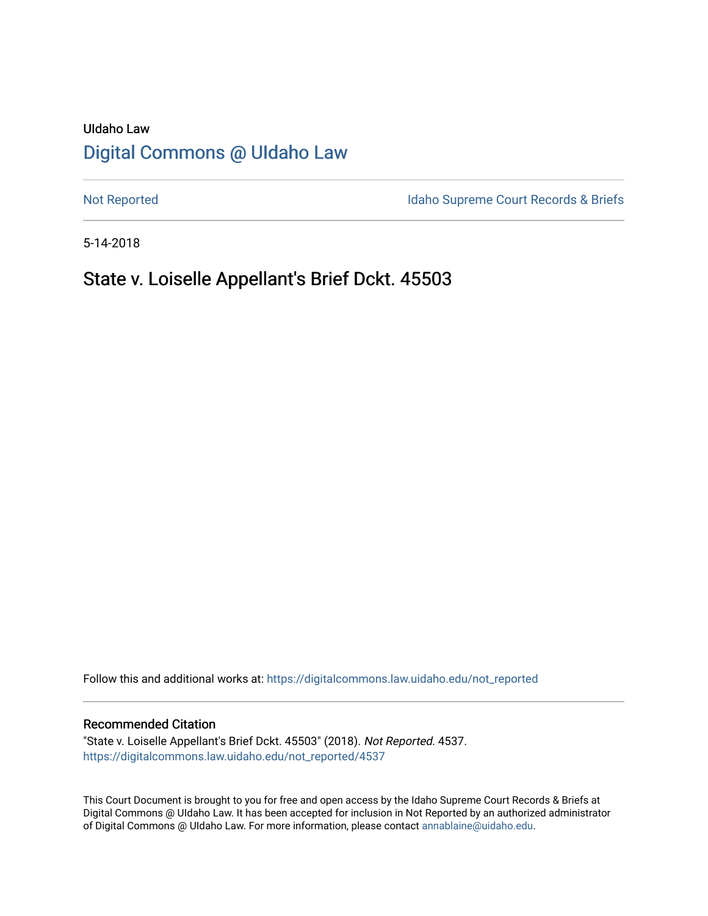# UIdaho Law [Digital Commons @ UIdaho Law](https://digitalcommons.law.uidaho.edu/)

[Not Reported](https://digitalcommons.law.uidaho.edu/not_reported) **Idaho Supreme Court Records & Briefs** 

5-14-2018

# State v. Loiselle Appellant's Brief Dckt. 45503

Follow this and additional works at: [https://digitalcommons.law.uidaho.edu/not\\_reported](https://digitalcommons.law.uidaho.edu/not_reported?utm_source=digitalcommons.law.uidaho.edu%2Fnot_reported%2F4537&utm_medium=PDF&utm_campaign=PDFCoverPages) 

### Recommended Citation

"State v. Loiselle Appellant's Brief Dckt. 45503" (2018). Not Reported. 4537. [https://digitalcommons.law.uidaho.edu/not\\_reported/4537](https://digitalcommons.law.uidaho.edu/not_reported/4537?utm_source=digitalcommons.law.uidaho.edu%2Fnot_reported%2F4537&utm_medium=PDF&utm_campaign=PDFCoverPages)

This Court Document is brought to you for free and open access by the Idaho Supreme Court Records & Briefs at Digital Commons @ UIdaho Law. It has been accepted for inclusion in Not Reported by an authorized administrator of Digital Commons @ UIdaho Law. For more information, please contact [annablaine@uidaho.edu](mailto:annablaine@uidaho.edu).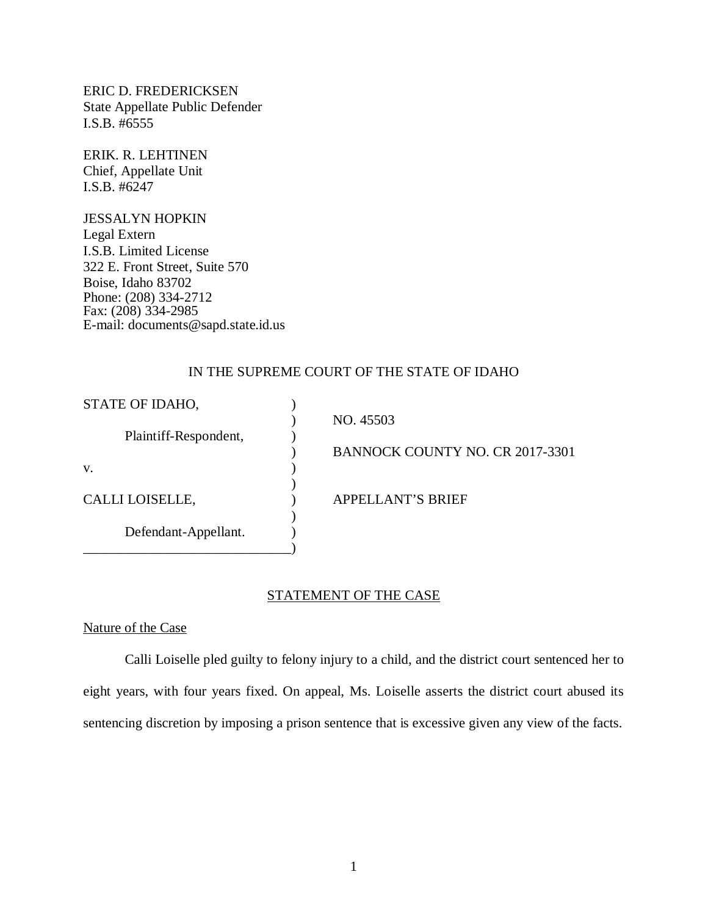ERIC D. FREDERICKSEN State Appellate Public Defender I.S.B. #6555

ERIK. R. LEHTINEN Chief, Appellate Unit I.S.B. #6247

JESSALYN HOPKIN Legal Extern I.S.B. Limited License 322 E. Front Street, Suite 570 Boise, Idaho 83702 Phone: (208) 334-2712 Fax: (208) 334-2985 E-mail: documents@sapd.state.id.us

## IN THE SUPREME COURT OF THE STATE OF IDAHO

| STATE OF IDAHO,       |                                 |
|-----------------------|---------------------------------|
|                       | NO. 45503                       |
| Plaintiff-Respondent, |                                 |
|                       | BANNOCK COUNTY NO. CR 2017-3301 |
| V.                    |                                 |
|                       |                                 |
| CALLI LOISELLE,       | <b>APPELLANT'S BRIEF</b>        |
|                       |                                 |
| Defendant-Appellant.  |                                 |
|                       |                                 |

### STATEMENT OF THE CASE

Nature of the Case

Calli Loiselle pled guilty to felony injury to a child, and the district court sentenced her to eight years, with four years fixed. On appeal, Ms. Loiselle asserts the district court abused its sentencing discretion by imposing a prison sentence that is excessive given any view of the facts.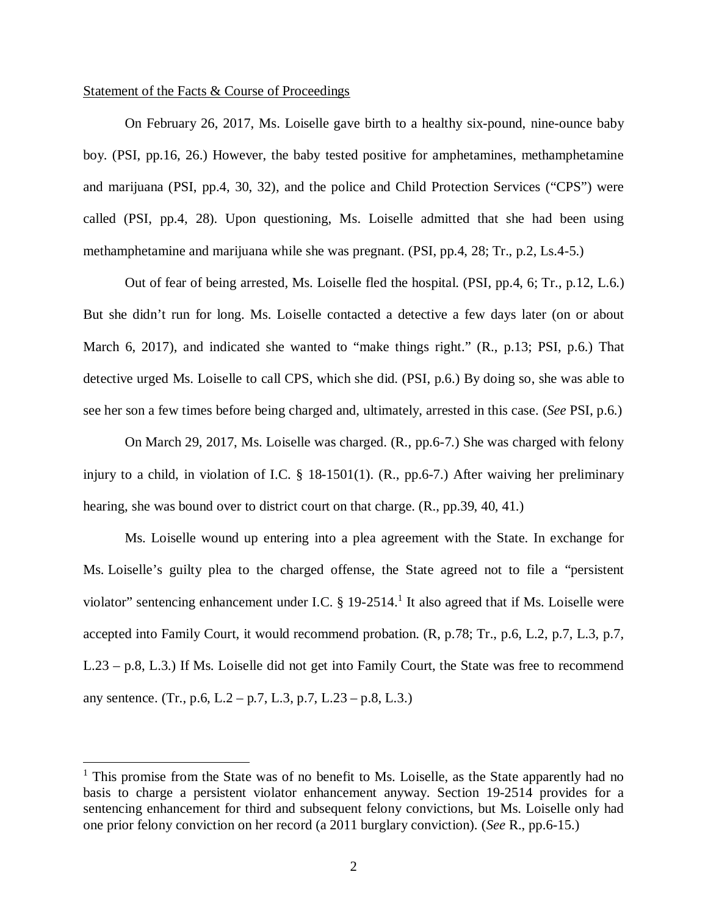### Statement of the Facts & Course of Proceedings

On February 26, 2017, Ms. Loiselle gave birth to a healthy six-pound, nine-ounce baby boy. (PSI, pp.16, 26.) However, the baby tested positive for amphetamines, methamphetamine and marijuana (PSI, pp.4, 30, 32), and the police and Child Protection Services ("CPS") were called (PSI, pp.4, 28). Upon questioning, Ms. Loiselle admitted that she had been using methamphetamine and marijuana while she was pregnant. (PSI, pp.4, 28; Tr., p.2, Ls.4-5.)

Out of fear of being arrested, Ms. Loiselle fled the hospital. (PSI, pp.4, 6; Tr., p.12, L.6.) But she didn't run for long. Ms. Loiselle contacted a detective a few days later (on or about March 6, 2017), and indicated she wanted to "make things right." (R., p.13; PSI, p.6.) That detective urged Ms. Loiselle to call CPS, which she did. (PSI, p.6.) By doing so, she was able to see her son a few times before being charged and, ultimately, arrested in this case. (*See* PSI, p.6.)

On March 29, 2017, Ms. Loiselle was charged. (R., pp.6-7.) She was charged with felony injury to a child, in violation of I.C. § 18-1501(1). (R., pp.6-7.) After waiving her preliminary hearing, she was bound over to district court on that charge. (R., pp.39, 40, 41.)

Ms. Loiselle wound up entering into a plea agreement with the State. In exchange for Ms. Loiselle's guilty plea to the charged offense, the State agreed not to file a "persistent violator" sentencing enhancement under I.C.  $\S$  [1](#page-2-0)9-2514.<sup>1</sup> It also agreed that if Ms. Loiselle were accepted into Family Court, it would recommend probation. (R, p.78; Tr., p.6, L.2, p.7, L.3, p.7, L.23 – p.8, L.3.) If Ms. Loiselle did not get into Family Court, the State was free to recommend any sentence. (Tr., p.6, L.2 – p.7, L.3, p.7, L.23 – p.8, L.3.)

<span id="page-2-0"></span><sup>&</sup>lt;sup>1</sup> This promise from the State was of no benefit to Ms. Loiselle, as the State apparently had no basis to charge a persistent violator enhancement anyway. Section 19-2514 provides for a sentencing enhancement for third and subsequent felony convictions, but Ms. Loiselle only had one prior felony conviction on her record (a 2011 burglary conviction). (*See* R., pp.6-15.)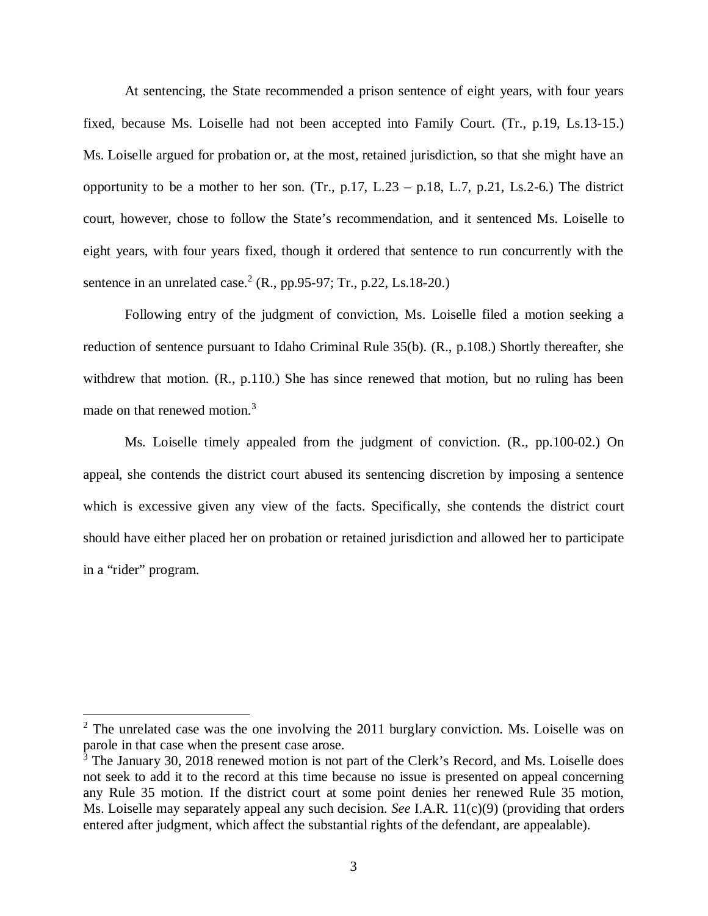At sentencing, the State recommended a prison sentence of eight years, with four years fixed, because Ms. Loiselle had not been accepted into Family Court. (Tr., p.19, Ls.13-15.) Ms. Loiselle argued for probation or, at the most, retained jurisdiction, so that she might have an opportunity to be a mother to her son. (Tr.,  $p.17$ , L.23 –  $p.18$ , L.7,  $p.21$ , Ls.2-6.) The district court, however, chose to follow the State's recommendation, and it sentenced Ms. Loiselle to eight years, with four years fixed, though it ordered that sentence to run concurrently with the sentence in an unrelated case.<sup>[2](#page-3-0)</sup> (R., pp.95-97; Tr., p.22, Ls.18-20.)

Following entry of the judgment of conviction, Ms. Loiselle filed a motion seeking a reduction of sentence pursuant to Idaho Criminal Rule 35(b). (R., p.108.) Shortly thereafter, she withdrew that motion. (R., p.110.) She has since renewed that motion, but no ruling has been made on that renewed motion.<sup>[3](#page-3-1)</sup>

Ms. Loiselle timely appealed from the judgment of conviction. (R., pp.100-02.) On appeal, she contends the district court abused its sentencing discretion by imposing a sentence which is excessive given any view of the facts. Specifically, she contends the district court should have either placed her on probation or retained jurisdiction and allowed her to participate in a "rider" program.

<span id="page-3-0"></span> $2$  The unrelated case was the one involving the 2011 burglary conviction. Ms. Loiselle was on parole in that case when the present case arose.

<span id="page-3-1"></span><sup>&</sup>lt;sup>3</sup> The January 30, 2018 renewed motion is not part of the Clerk's Record, and Ms. Loiselle does not seek to add it to the record at this time because no issue is presented on appeal concerning any Rule 35 motion. If the district court at some point denies her renewed Rule 35 motion, Ms. Loiselle may separately appeal any such decision. *See* I.A.R. 11(c)(9) (providing that orders entered after judgment, which affect the substantial rights of the defendant, are appealable).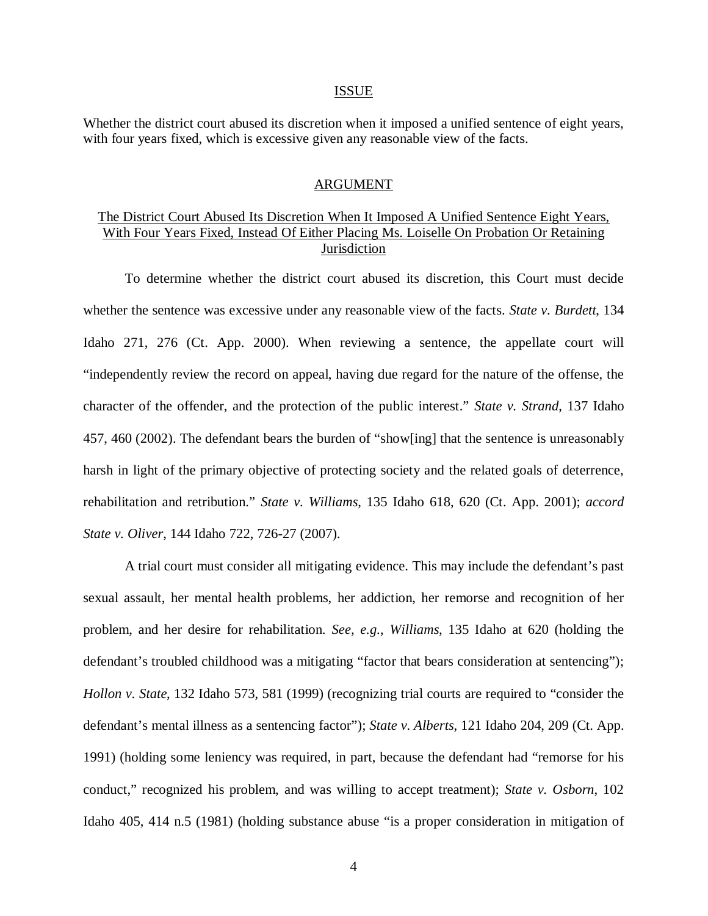#### ISSUE

Whether the district court abused its discretion when it imposed a unified sentence of eight years, with four years fixed, which is excessive given any reasonable view of the facts.

### ARGUMENT

## The District Court Abused Its Discretion When It Imposed A Unified Sentence Eight Years, With Four Years Fixed, Instead Of Either Placing Ms. Loiselle On Probation Or Retaining **Jurisdiction**

To determine whether the district court abused its discretion, this Court must decide whether the sentence was excessive under any reasonable view of the facts. *State v. Burdett*, 134 Idaho 271, 276 (Ct. App. 2000). When reviewing a sentence, the appellate court will "independently review the record on appeal, having due regard for the nature of the offense, the character of the offender, and the protection of the public interest." *State v. Strand*, 137 Idaho 457, 460 (2002). The defendant bears the burden of "show[ing] that the sentence is unreasonably harsh in light of the primary objective of protecting society and the related goals of deterrence, rehabilitation and retribution." *State v. Williams*, 135 Idaho 618, 620 (Ct. App. 2001); *accord State v. Oliver*, 144 Idaho 722, 726-27 (2007).

A trial court must consider all mitigating evidence. This may include the defendant's past sexual assault, her mental health problems, her addiction, her remorse and recognition of her problem, and her desire for rehabilitation. *See, e.g.*, *Williams*, 135 Idaho at 620 (holding the defendant's troubled childhood was a mitigating "factor that bears consideration at sentencing"); *Hollon v. State*, 132 Idaho 573, 581 (1999) (recognizing trial courts are required to "consider the defendant's mental illness as a sentencing factor"); *State v. Alberts*, 121 Idaho 204, 209 (Ct. App. 1991) (holding some leniency was required, in part, because the defendant had "remorse for his conduct," recognized his problem, and was willing to accept treatment); *State v. Osborn*, 102 Idaho 405, 414 n.5 (1981) (holding substance abuse "is a proper consideration in mitigation of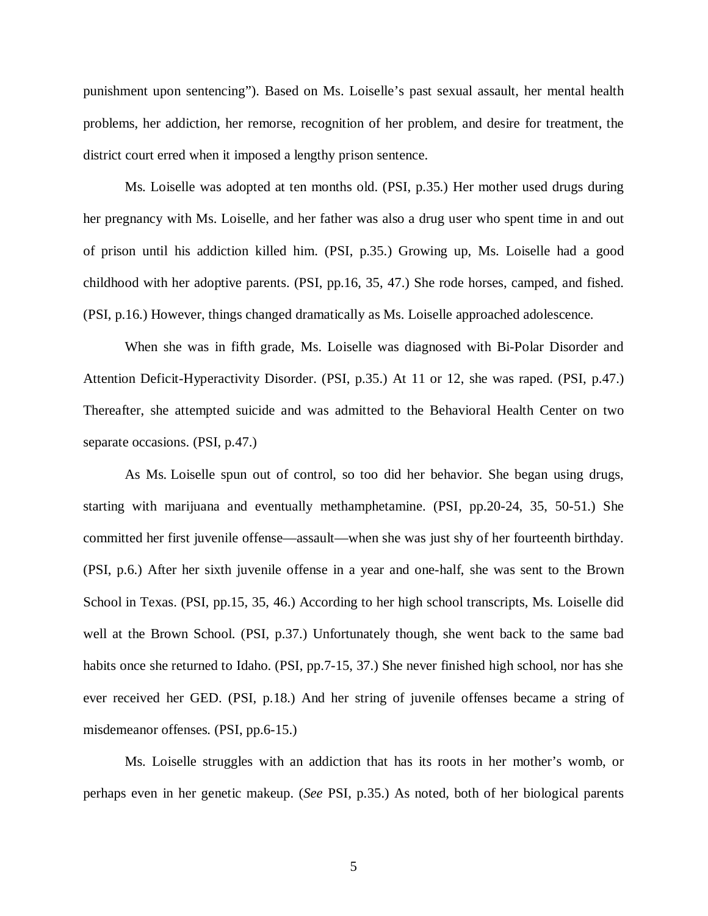punishment upon sentencing"). Based on Ms. Loiselle's past sexual assault, her mental health problems, her addiction, her remorse, recognition of her problem, and desire for treatment, the district court erred when it imposed a lengthy prison sentence.

Ms. Loiselle was adopted at ten months old. (PSI, p.35.) Her mother used drugs during her pregnancy with Ms. Loiselle, and her father was also a drug user who spent time in and out of prison until his addiction killed him. (PSI, p.35.) Growing up, Ms. Loiselle had a good childhood with her adoptive parents. (PSI, pp.16, 35, 47.) She rode horses, camped, and fished. (PSI, p.16.) However, things changed dramatically as Ms. Loiselle approached adolescence.

When she was in fifth grade, Ms. Loiselle was diagnosed with Bi-Polar Disorder and Attention Deficit-Hyperactivity Disorder. (PSI, p.35.) At 11 or 12, she was raped. (PSI, p.47.) Thereafter, she attempted suicide and was admitted to the Behavioral Health Center on two separate occasions. (PSI, p.47.)

As Ms. Loiselle spun out of control, so too did her behavior. She began using drugs, starting with marijuana and eventually methamphetamine. (PSI, pp.20-24, 35, 50-51.) She committed her first juvenile offense—assault—when she was just shy of her fourteenth birthday. (PSI, p.6.) After her sixth juvenile offense in a year and one-half, she was sent to the Brown School in Texas. (PSI, pp.15, 35, 46.) According to her high school transcripts, Ms. Loiselle did well at the Brown School. (PSI, p.37.) Unfortunately though, she went back to the same bad habits once she returned to Idaho. (PSI, pp.7-15, 37.) She never finished high school, nor has she ever received her GED. (PSI, p.18.) And her string of juvenile offenses became a string of misdemeanor offenses. (PSI, pp.6-15.)

Ms. Loiselle struggles with an addiction that has its roots in her mother's womb, or perhaps even in her genetic makeup. (*See* PSI, p.35.) As noted, both of her biological parents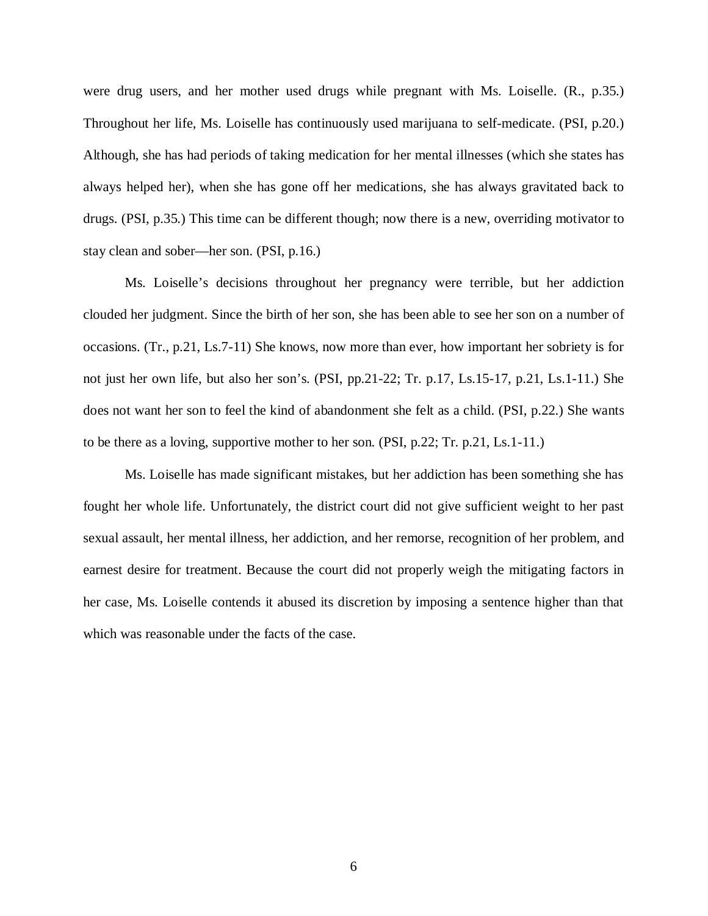were drug users, and her mother used drugs while pregnant with Ms. Loiselle. (R., p.35.) Throughout her life, Ms. Loiselle has continuously used marijuana to self-medicate. (PSI, p.20.) Although, she has had periods of taking medication for her mental illnesses (which she states has always helped her), when she has gone off her medications, she has always gravitated back to drugs. (PSI, p.35.) This time can be different though; now there is a new, overriding motivator to stay clean and sober—her son. (PSI, p.16.)

Ms. Loiselle's decisions throughout her pregnancy were terrible, but her addiction clouded her judgment. Since the birth of her son, she has been able to see her son on a number of occasions. (Tr., p.21, Ls.7-11) She knows, now more than ever, how important her sobriety is for not just her own life, but also her son's. (PSI, pp.21-22; Tr. p.17, Ls.15-17, p.21, Ls.1-11.) She does not want her son to feel the kind of abandonment she felt as a child. (PSI, p.22.) She wants to be there as a loving, supportive mother to her son. (PSI, p.22; Tr. p.21, Ls.1-11.)

Ms. Loiselle has made significant mistakes, but her addiction has been something she has fought her whole life. Unfortunately, the district court did not give sufficient weight to her past sexual assault, her mental illness, her addiction, and her remorse, recognition of her problem, and earnest desire for treatment. Because the court did not properly weigh the mitigating factors in her case, Ms. Loiselle contends it abused its discretion by imposing a sentence higher than that which was reasonable under the facts of the case.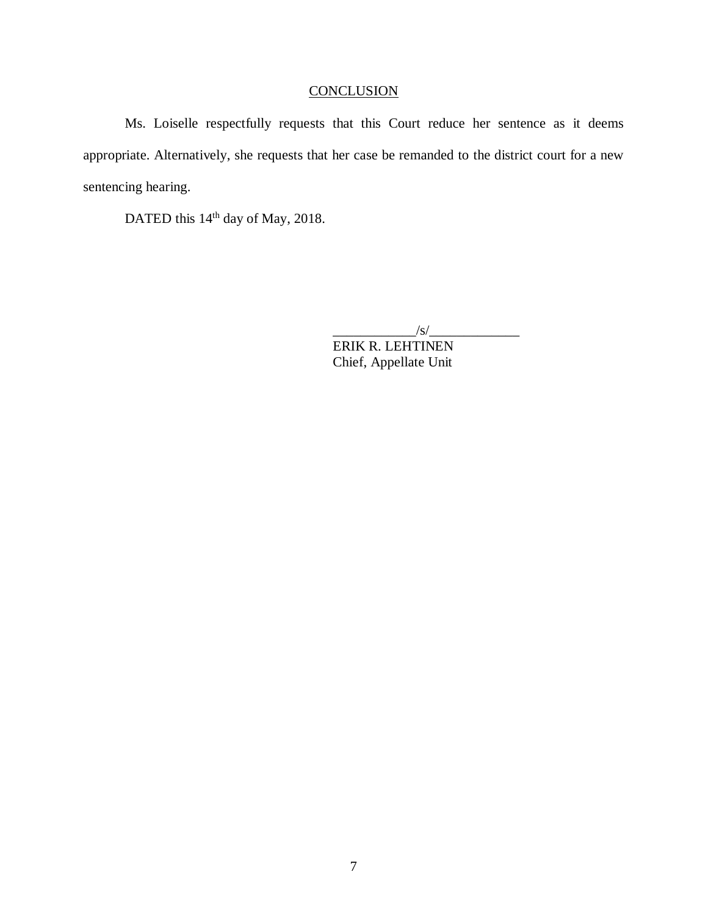# **CONCLUSION**

Ms. Loiselle respectfully requests that this Court reduce her sentence as it deems appropriate. Alternatively, she requests that her case be remanded to the district court for a new sentencing hearing.

DATED this 14<sup>th</sup> day of May, 2018.

 $\frac{|S|}{|S|}$ 

ERIK R. LEHTINEN Chief, Appellate Unit